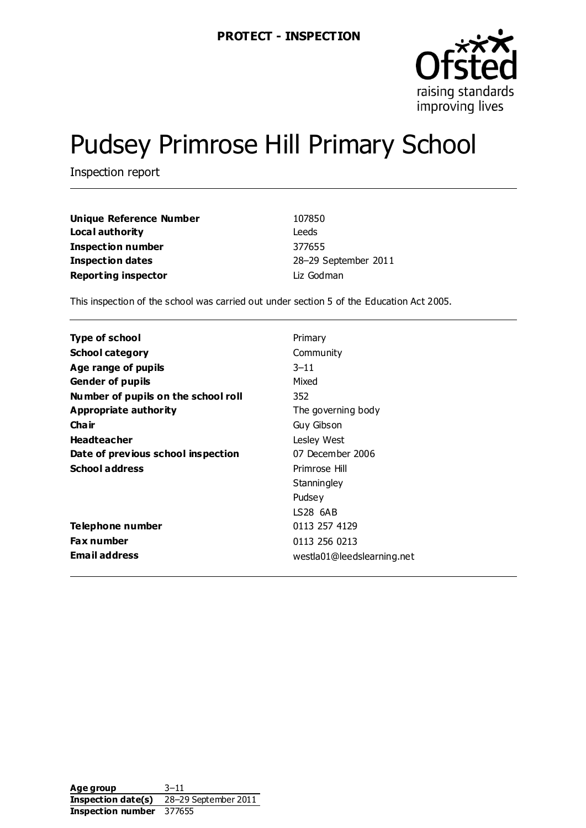

# Pudsey Primrose Hill Primary School

Inspection report

| Unique Reference Number    | 107850               |
|----------------------------|----------------------|
| Local authority            | Leeds                |
| Inspection number          | 377655               |
| Inspection dates           | 28-29 September 2011 |
| <b>Reporting inspector</b> | Liz Godman           |

This inspection of the school was carried out under section 5 of the Education Act 2005.

| Type of school                      | Primary                    |
|-------------------------------------|----------------------------|
| <b>School category</b>              | Community                  |
| Age range of pupils                 | $3 - 11$                   |
| <b>Gender of pupils</b>             | Mixed                      |
| Number of pupils on the school roll | 352                        |
| Appropriate authority               | The governing body         |
| Cha ir                              | Guy Gibson                 |
| <b>Headteacher</b>                  | Lesley West                |
| Date of previous school inspection  | 07 December 2006           |
| <b>School address</b>               | Primrose Hill              |
|                                     | Stanningley                |
|                                     | Pudsey                     |
|                                     | LS28 6AB                   |
| Telephone number                    | 0113 257 4129              |
| Fax number                          | 0113 256 0213              |
| <b>Email address</b>                | westla01@leedslearning.net |

**Age group** 3–11 **Inspection date(s)** 28–29 September 2011 **Inspection number** 377655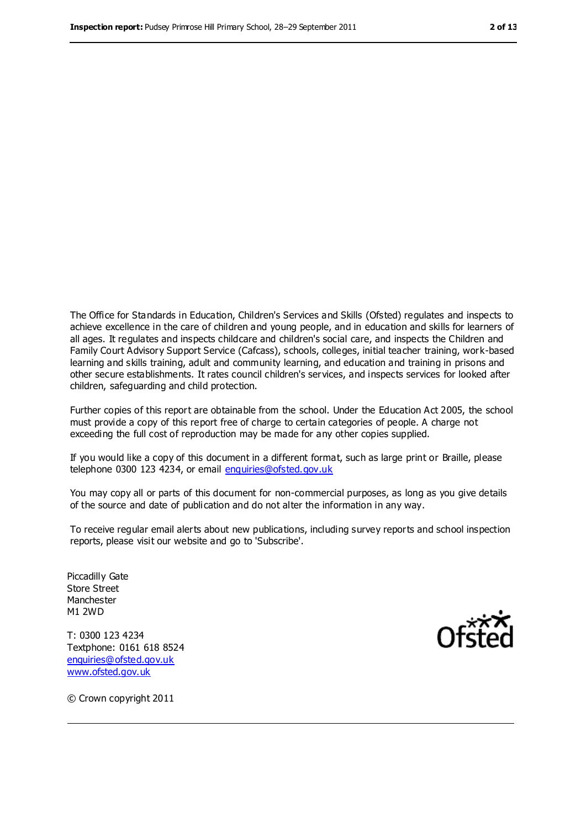The Office for Standards in Education, Children's Services and Skills (Ofsted) regulates and inspects to achieve excellence in the care of children and young people, and in education and skills for learners of all ages. It regulates and inspects childcare and children's social care, and inspects the Children and Family Court Advisory Support Service (Cafcass), schools, colleges, initial teacher training, work-based learning and skills training, adult and community learning, and education and training in prisons and other secure establishments. It rates council children's services, and inspects services for looked after children, safeguarding and child protection.

Further copies of this report are obtainable from the school. Under the Education Act 2005, the school must provide a copy of this report free of charge to certain categories of people. A charge not exceeding the full cost of reproduction may be made for any other copies supplied.

If you would like a copy of this document in a different format, such as large print or Braille, please telephone 0300 123 4234, or email [enquiries@ofsted.gov.uk](mailto:enquiries@ofsted.gov.uk)

You may copy all or parts of this document for non-commercial purposes, as long as you give details of the source and date of publication and do not alter the information in any way.

To receive regular email alerts about new publications, including survey reports and school inspection reports, please visit our website and go to 'Subscribe'.

Piccadilly Gate Store Street Manchester M1 2WD

T: 0300 123 4234 Textphone: 0161 618 8524 enquiries@ofsted.gov.uk [www.ofsted.gov.uk](http://www.ofsted.gov.uk/)



© Crown copyright 2011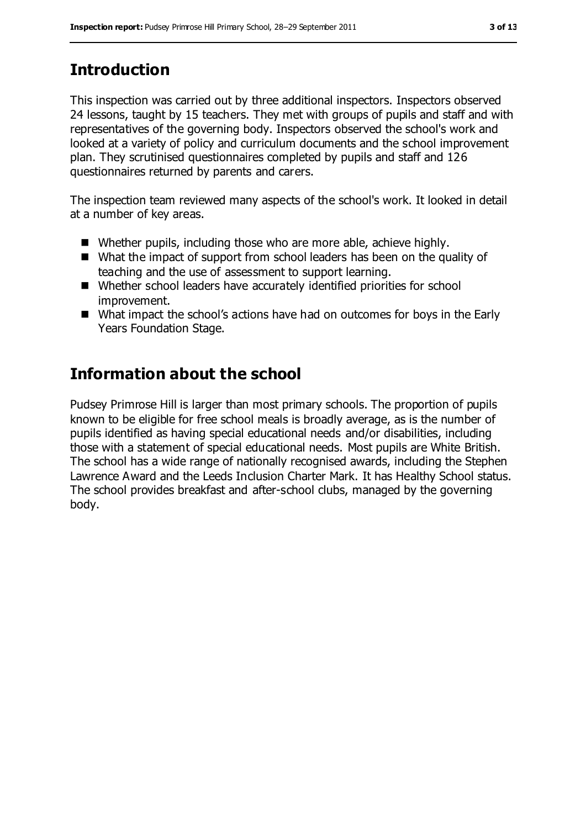# **Introduction**

This inspection was carried out by three additional inspectors. Inspectors observed 24 lessons, taught by 15 teachers. They met with groups of pupils and staff and with representatives of the governing body. Inspectors observed the school's work and looked at a variety of policy and curriculum documents and the school improvement plan. They scrutinised questionnaires completed by pupils and staff and 126 questionnaires returned by parents and carers.

The inspection team reviewed many aspects of the school's work. It looked in detail at a number of key areas.

- Whether pupils, including those who are more able, achieve highly.
- What the impact of support from school leaders has been on the quality of teaching and the use of assessment to support learning.
- Whether school leaders have accurately identified priorities for school improvement.
- What impact the school's actions have had on outcomes for boys in the Early Years Foundation Stage.

## **Information about the school**

Pudsey Primrose Hill is larger than most primary schools. The proportion of pupils known to be eligible for free school meals is broadly average, as is the number of pupils identified as having special educational needs and/or disabilities, including those with a statement of special educational needs. Most pupils are White British. The school has a wide range of nationally recognised awards, including the Stephen Lawrence Award and the Leeds Inclusion Charter Mark. It has Healthy School status. The school provides breakfast and after-school clubs, managed by the governing body.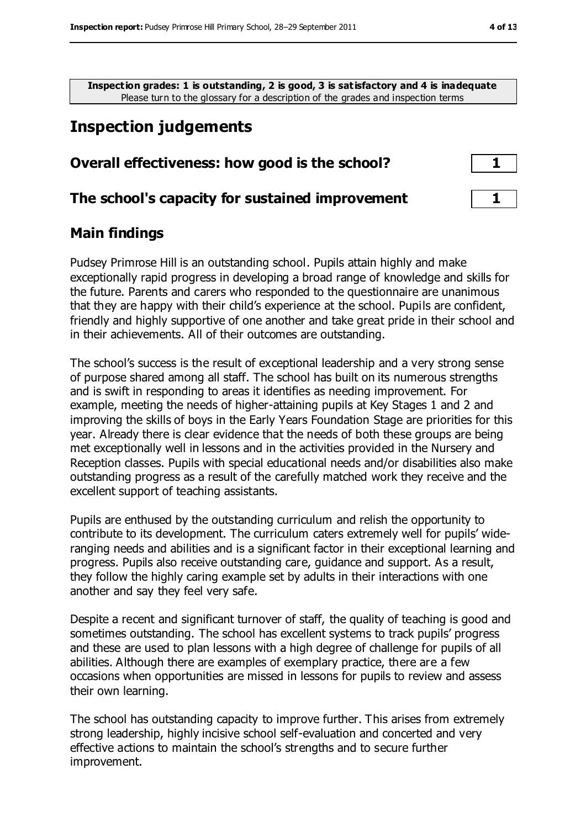**Inspection grades: 1 is outstanding, 2 is good, 3 is satisfactory and 4 is inadequate** Please turn to the glossary for a description of the grades and inspection terms

# **Inspection judgements**

| Overall effectiveness: how good is the school? |  |
|------------------------------------------------|--|
|                                                |  |

#### **The school's capacity for sustained improvement 1**

#### **Main findings**

Pudsey Primrose Hill is an outstanding school. Pupils attain highly and make exceptionally rapid progress in developing a broad range of knowledge and skills for the future. Parents and carers who responded to the questionnaire are unanimous that they are happy with their child's experience at the school. Pupils are confident, friendly and highly supportive of one another and take great pride in their school and in their achievements. All of their outcomes are outstanding.

The school's success is the result of exceptional leadership and a very strong sense of purpose shared among all staff. The school has built on its numerous strengths and is swift in responding to areas it identifies as needing improvement. For example, meeting the needs of higher-attaining pupils at Key Stages 1 and 2 and improving the skills of boys in the Early Years Foundation Stage are priorities for this year. Already there is clear evidence that the needs of both these groups are being met exceptionally well in lessons and in the activities provided in the Nursery and Reception classes. Pupils with special educational needs and/or disabilities also make outstanding progress as a result of the carefully matched work they receive and the excellent support of teaching assistants.

Pupils are enthused by the outstanding curriculum and relish the opportunity to contribute to its development. The curriculum caters extremely well for pupils' wideranging needs and abilities and is a significant factor in their exceptional learning and progress. Pupils also receive outstanding care, guidance and support. As a result, they follow the highly caring example set by adults in their interactions with one another and say they feel very safe.

Despite a recent and significant turnover of staff, the quality of teaching is good and sometimes outstanding. The school has excellent systems to track pupils' progress and these are used to plan lessons with a high degree of challenge for pupils of all abilities. Although there are examples of exemplary practice, there are a few occasions when opportunities are missed in lessons for pupils to review and assess their own learning.

The school has outstanding capacity to improve further. This arises from extremely strong leadership, highly incisive school self-evaluation and concerted and very effective actions to maintain the school's strengths and to secure further improvement.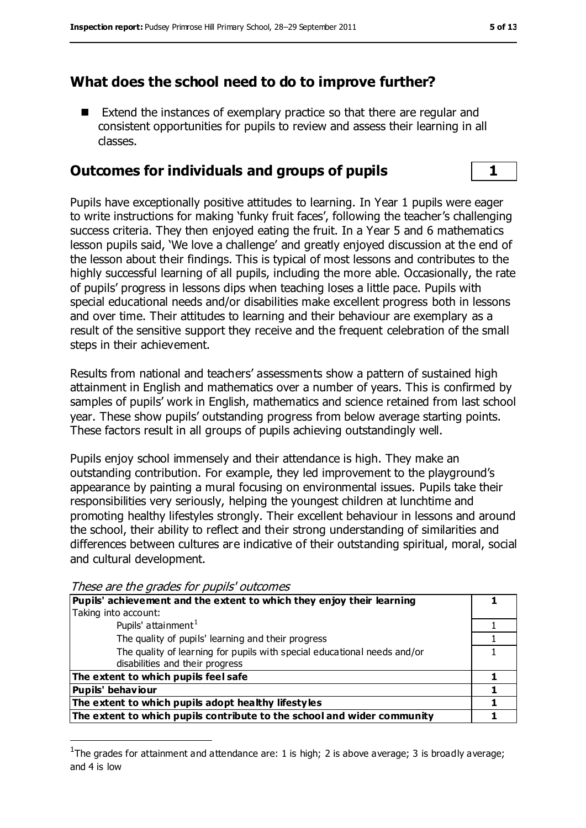#### **What does the school need to do to improve further?**

 Extend the instances of exemplary practice so that there are regular and consistent opportunities for pupils to review and assess their learning in all classes.

#### **Outcomes for individuals and groups of pupils 1**

Pupils have exceptionally positive attitudes to learning. In Year 1 pupils were eager to write instructions for making 'funky fruit faces', following the teacher's challenging success criteria. They then enjoyed eating the fruit. In a Year 5 and 6 mathematics lesson pupils said, 'We love a challenge' and greatly enjoyed discussion at the end of the lesson about their findings. This is typical of most lessons and contributes to the highly successful learning of all pupils, including the more able. Occasionally, the rate of pupils' progress in lessons dips when teaching loses a little pace. Pupils with special educational needs and/or disabilities make excellent progress both in lessons and over time. Their attitudes to learning and their behaviour are exemplary as a result of the sensitive support they receive and the frequent celebration of the small steps in their achievement.

Results from national and teachers' assessments show a pattern of sustained high attainment in English and mathematics over a number of years. This is confirmed by samples of pupils' work in English, mathematics and science retained from last school year. These show pupils' outstanding progress from below average starting points. These factors result in all groups of pupils achieving outstandingly well.

Pupils enjoy school immensely and their attendance is high. They make an outstanding contribution. For example, they led improvement to the playground's appearance by painting a mural focusing on environmental issues. Pupils take their responsibilities very seriously, helping the youngest children at lunchtime and promoting healthy lifestyles strongly. Their excellent behaviour in lessons and around the school, their ability to reflect and their strong understanding of similarities and differences between cultures are indicative of their outstanding spiritual, moral, social and cultural development.

| $111000$ and and graduate the papilo baccomide                           |  |
|--------------------------------------------------------------------------|--|
| Pupils' achievement and the extent to which they enjoy their learning    |  |
| Taking into account:                                                     |  |
| Pupils' attainment <sup>1</sup>                                          |  |
| The quality of pupils' learning and their progress                       |  |
| The quality of learning for pupils with special educational needs and/or |  |
| disabilities and their progress                                          |  |
| The extent to which pupils feel safe                                     |  |
| <b>Pupils' behaviour</b>                                                 |  |
| The extent to which pupils adopt healthy lifestyles                      |  |
| The extent to which pupils contribute to the school and wider community  |  |

These are the grades for pupils' outcomes

 $\overline{a}$ 

<sup>&</sup>lt;sup>1</sup>The grades for attainment and attendance are: 1 is high; 2 is above average; 3 is broadly average; and 4 is low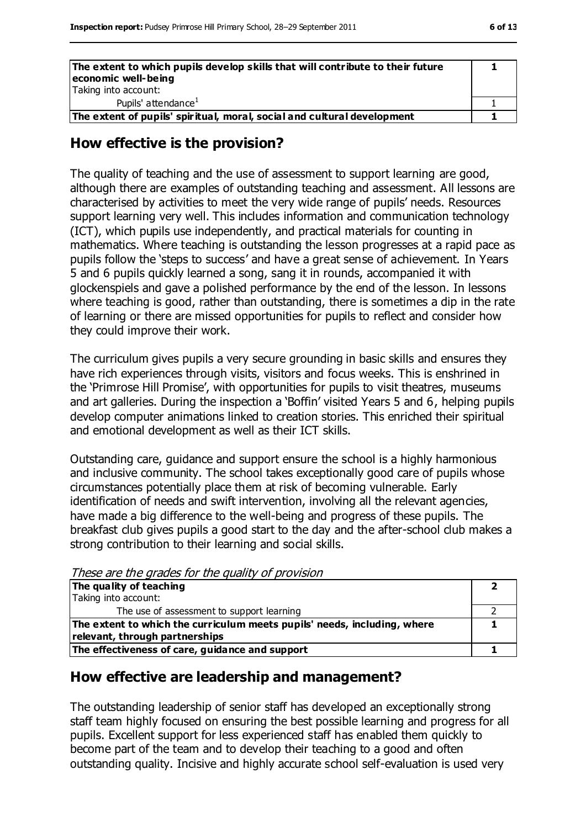| The extent to which pupils develop skills that will contribute to their future<br>economic well-being |  |
|-------------------------------------------------------------------------------------------------------|--|
| Taking into account:                                                                                  |  |
| Pupils' attendance <sup>1</sup>                                                                       |  |
| The extent of pupils' spiritual, moral, social and cultural development                               |  |

#### **How effective is the provision?**

The quality of teaching and the use of assessment to support learning are good, although there are examples of outstanding teaching and assessment. All lessons are characterised by activities to meet the very wide range of pupils' needs. Resources support learning very well. This includes information and communication technology (ICT), which pupils use independently, and practical materials for counting in mathematics. Where teaching is outstanding the lesson progresses at a rapid pace as pupils follow the 'steps to success' and have a great sense of achievement. In Years 5 and 6 pupils quickly learned a song, sang it in rounds, accompanied it with glockenspiels and gave a polished performance by the end of the lesson. In lessons where teaching is good, rather than outstanding, there is sometimes a dip in the rate of learning or there are missed opportunities for pupils to reflect and consider how they could improve their work.

The curriculum gives pupils a very secure grounding in basic skills and ensures they have rich experiences through visits, visitors and focus weeks. This is enshrined in the 'Primrose Hill Promise', with opportunities for pupils to visit theatres, museums and art galleries. During the inspection a 'Boffin' visited Years 5 and 6, helping pupils develop computer animations linked to creation stories. This enriched their spiritual and emotional development as well as their ICT skills.

Outstanding care, guidance and support ensure the school is a highly harmonious and inclusive community. The school takes exceptionally good care of pupils whose circumstances potentially place them at risk of becoming vulnerable. Early identification of needs and swift intervention, involving all the relevant agencies, have made a big difference to the well-being and progress of these pupils. The breakfast club gives pupils a good start to the day and the after-school club makes a strong contribution to their learning and social skills.

| These are the grades for the guanty of provision                         |  |
|--------------------------------------------------------------------------|--|
| The quality of teaching                                                  |  |
| Taking into account:                                                     |  |
| The use of assessment to support learning                                |  |
| The extent to which the curriculum meets pupils' needs, including, where |  |
| relevant, through partnerships                                           |  |
| The effectiveness of care, guidance and support                          |  |

These are the grades for the quality of provision

#### **How effective are leadership and management?**

The outstanding leadership of senior staff has developed an exceptionally strong staff team highly focused on ensuring the best possible learning and progress for all pupils. Excellent support for less experienced staff has enabled them quickly to become part of the team and to develop their teaching to a good and often outstanding quality. Incisive and highly accurate school self-evaluation is used very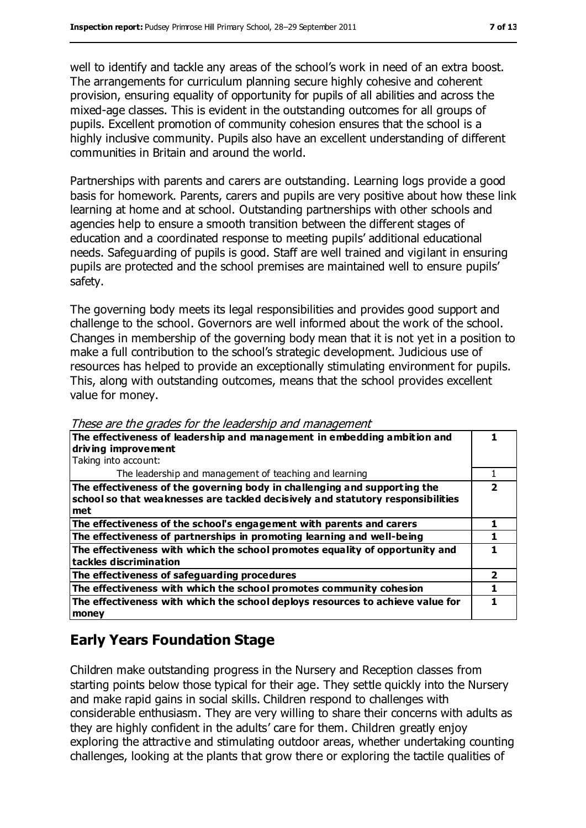well to identify and tackle any areas of the school's work in need of an extra boost. The arrangements for curriculum planning secure highly cohesive and coherent provision, ensuring equality of opportunity for pupils of all abilities and across the mixed-age classes. This is evident in the outstanding outcomes for all groups of pupils. Excellent promotion of community cohesion ensures that the school is a highly inclusive community. Pupils also have an excellent understanding of different communities in Britain and around the world.

Partnerships with parents and carers are outstanding. Learning logs provide a good basis for homework. Parents, carers and pupils are very positive about how these link learning at home and at school. Outstanding partnerships with other schools and agencies help to ensure a smooth transition between the different stages of education and a coordinated response to meeting pupils' additional educational needs. Safeguarding of pupils is good. Staff are well trained and vigilant in ensuring pupils are protected and the school premises are maintained well to ensure pupils' safety.

The governing body meets its legal responsibilities and provides good support and challenge to the school. Governors are well informed about the work of the school. Changes in membership of the governing body mean that it is not yet in a position to make a full contribution to the school's strategic development. Judicious use of resources has helped to provide an exceptionally stimulating environment for pupils. This, along with outstanding outcomes, means that the school provides excellent value for money.

| The effectiveness of leadership and management in embedding ambition and<br>driving improvement<br>Taking into account:                                             |   |
|---------------------------------------------------------------------------------------------------------------------------------------------------------------------|---|
| The leadership and management of teaching and learning                                                                                                              |   |
| The effectiveness of the governing body in challenging and supporting the<br>school so that weaknesses are tackled decisively and statutory responsibilities<br>met | 7 |
| The effectiveness of the school's engagement with parents and carers                                                                                                |   |
| The effectiveness of partnerships in promoting learning and well-being                                                                                              |   |
| The effectiveness with which the school promotes equality of opportunity and<br>tackles discrimination                                                              |   |
| The effectiveness of safeguarding procedures                                                                                                                        | 2 |
| The effectiveness with which the school promotes community cohesion                                                                                                 |   |
| The effectiveness with which the school deploys resources to achieve value for<br>money                                                                             |   |

These are the grades for the leadership and management

## **Early Years Foundation Stage**

Children make outstanding progress in the Nursery and Reception classes from starting points below those typical for their age. They settle quickly into the Nursery and make rapid gains in social skills. Children respond to challenges with considerable enthusiasm. They are very willing to share their concerns with adults as they are highly confident in the adults' care for them. Children greatly enjoy exploring the attractive and stimulating outdoor areas, whether undertaking counting challenges, looking at the plants that grow there or exploring the tactile qualities of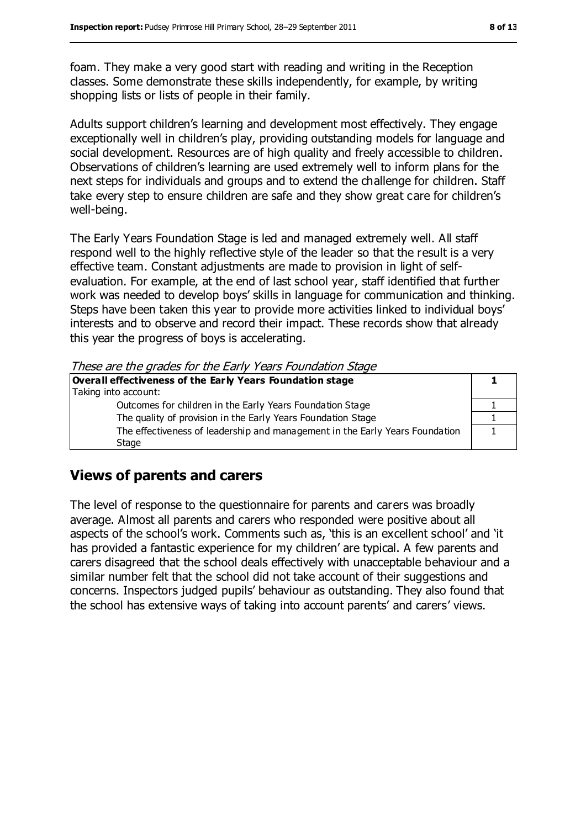foam. They make a very good start with reading and writing in the Reception classes. Some demonstrate these skills independently, for example, by writing shopping lists or lists of people in their family.

Adults support children's learning and development most effectively. They engage exceptionally well in children's play, providing outstanding models for language and social development. Resources are of high quality and freely accessible to children. Observations of children's learning are used extremely well to inform plans for the next steps for individuals and groups and to extend the challenge for children. Staff take every step to ensure children are safe and they show great care for children's well-being.

The Early Years Foundation Stage is led and managed extremely well. All staff respond well to the highly reflective style of the leader so that the result is a very effective team. Constant adjustments are made to provision in light of selfevaluation. For example, at the end of last school year, staff identified that further work was needed to develop boys' skills in language for communication and thinking. Steps have been taken this year to provide more activities linked to individual boys' interests and to observe and record their impact. These records show that already this year the progress of boys is accelerating.

These are the grades for the Early Years Foundation Stage

| Overall effectiveness of the Early Years Foundation stage                    |  |
|------------------------------------------------------------------------------|--|
| Taking into account:                                                         |  |
| Outcomes for children in the Early Years Foundation Stage                    |  |
| The quality of provision in the Early Years Foundation Stage                 |  |
| The effectiveness of leadership and management in the Early Years Foundation |  |
| Stage                                                                        |  |

#### **Views of parents and carers**

The level of response to the questionnaire for parents and carers was broadly average. Almost all parents and carers who responded were positive about all aspects of the school's work. Comments such as, 'this is an excellent school' and 'it has provided a fantastic experience for my children' are typical. A few parents and carers disagreed that the school deals effectively with unacceptable behaviour and a similar number felt that the school did not take account of their suggestions and concerns. Inspectors judged pupils' behaviour as outstanding. They also found that the school has extensive ways of taking into account parents' and carers' views.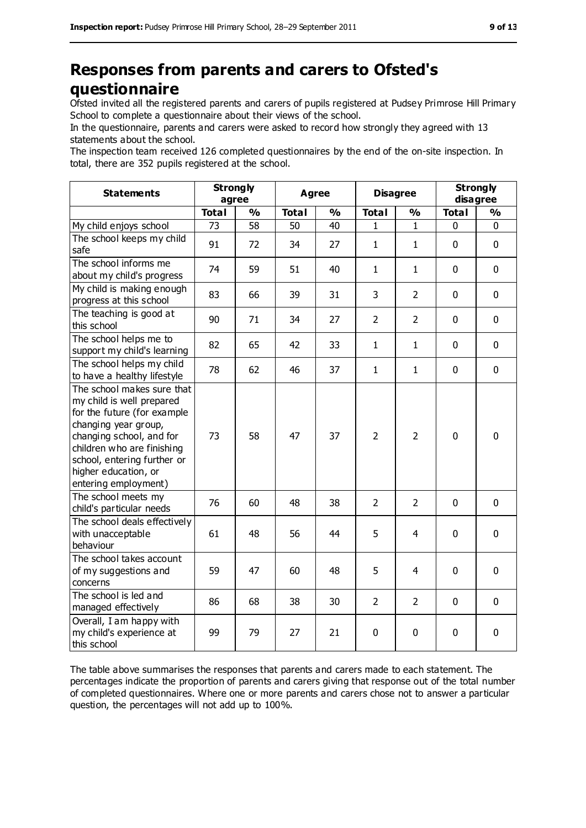## **Responses from parents and carers to Ofsted's questionnaire**

Ofsted invited all the registered parents and carers of pupils registered at Pudsey Primrose Hill Primary School to complete a questionnaire about their views of the school.

In the questionnaire, parents and carers were asked to record how strongly they agreed with 13 statements about the school.

The inspection team received 126 completed questionnaires by the end of the on-site inspection. In total, there are 352 pupils registered at the school.

| <b>Statements</b>                                                                                                                                                                                                                                       | <b>Strongly</b><br>agree |               | <b>Agree</b> |               | <b>Disagree</b> |                | <b>Strongly</b><br>disagree |               |
|---------------------------------------------------------------------------------------------------------------------------------------------------------------------------------------------------------------------------------------------------------|--------------------------|---------------|--------------|---------------|-----------------|----------------|-----------------------------|---------------|
|                                                                                                                                                                                                                                                         | <b>Total</b>             | $\frac{0}{0}$ | <b>Total</b> | $\frac{1}{2}$ | <b>Total</b>    | $\frac{1}{2}$  | <b>Total</b>                | $\frac{9}{6}$ |
| My child enjoys school                                                                                                                                                                                                                                  | 73                       | 58            | 50           | 40            | 1               | 1              | 0                           | 0             |
| The school keeps my child<br>safe                                                                                                                                                                                                                       | 91                       | 72            | 34           | 27            | $\mathbf{1}$    | $\mathbf{1}$   | $\mathbf 0$                 | $\mathbf 0$   |
| The school informs me<br>about my child's progress                                                                                                                                                                                                      | 74                       | 59            | 51           | 40            | 1               | $\mathbf{1}$   | $\mathbf 0$                 | $\mathbf 0$   |
| My child is making enough<br>progress at this school                                                                                                                                                                                                    | 83                       | 66            | 39           | 31            | 3               | $\overline{2}$ | $\mathbf 0$                 | $\mathbf 0$   |
| The teaching is good at<br>this school                                                                                                                                                                                                                  | 90                       | 71            | 34           | 27            | $\overline{2}$  | $\overline{2}$ | $\mathbf 0$                 | $\mathbf 0$   |
| The school helps me to<br>support my child's learning                                                                                                                                                                                                   | 82                       | 65            | 42           | 33            | $\mathbf{1}$    | $\mathbf{1}$   | $\mathbf 0$                 | $\mathbf 0$   |
| The school helps my child<br>to have a healthy lifestyle                                                                                                                                                                                                | 78                       | 62            | 46           | 37            | $\mathbf{1}$    | $\mathbf{1}$   | $\mathbf 0$                 | $\mathbf 0$   |
| The school makes sure that<br>my child is well prepared<br>for the future (for example<br>changing year group,<br>changing school, and for<br>children who are finishing<br>school, entering further or<br>higher education, or<br>entering employment) | 73                       | 58            | 47           | 37            | $\overline{2}$  | $\overline{2}$ | $\mathbf 0$                 | $\mathbf 0$   |
| The school meets my<br>child's particular needs                                                                                                                                                                                                         | 76                       | 60            | 48           | 38            | $\overline{2}$  | $\overline{2}$ | $\mathbf 0$                 | $\mathbf 0$   |
| The school deals effectively<br>with unacceptable<br>behaviour                                                                                                                                                                                          | 61                       | 48            | 56           | 44            | 5               | $\overline{4}$ | $\mathbf 0$                 | $\mathbf 0$   |
| The school takes account<br>of my suggestions and<br>concerns                                                                                                                                                                                           | 59                       | 47            | 60           | 48            | 5               | 4              | $\mathbf 0$                 | 0             |
| The school is led and<br>managed effectively                                                                                                                                                                                                            | 86                       | 68            | 38           | 30            | $\overline{2}$  | $\overline{2}$ | $\mathbf 0$                 | $\mathbf 0$   |
| Overall, I am happy with<br>my child's experience at<br>this school                                                                                                                                                                                     | 99                       | 79            | 27           | 21            | 0               | $\mathbf 0$    | $\pmb{0}$                   | 0             |

The table above summarises the responses that parents and carers made to each statement. The percentages indicate the proportion of parents and carers giving that response out of the total number of completed questionnaires. Where one or more parents and carers chose not to answer a particular question, the percentages will not add up to 100%.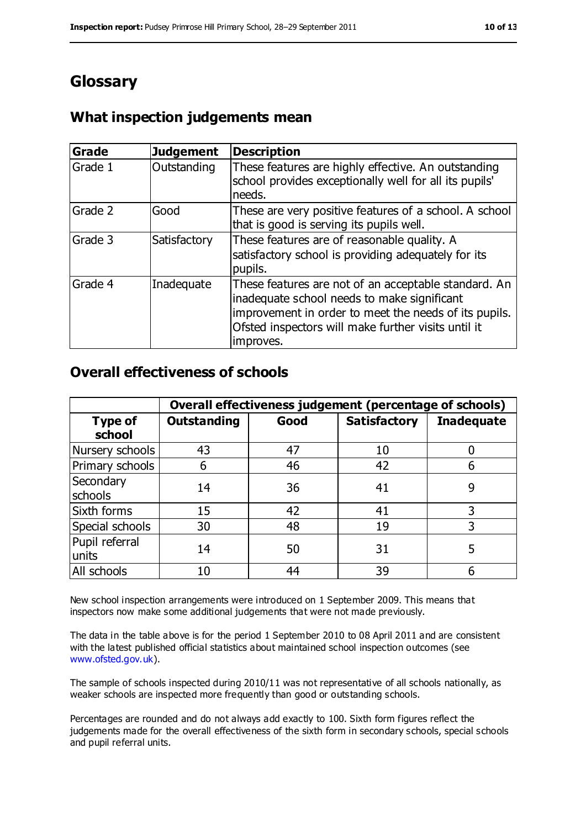## **Glossary**

### **What inspection judgements mean**

| <b>Grade</b> | <b>Judgement</b> | <b>Description</b>                                                                                                                                                                                                               |
|--------------|------------------|----------------------------------------------------------------------------------------------------------------------------------------------------------------------------------------------------------------------------------|
| Grade 1      | Outstanding      | These features are highly effective. An outstanding<br>school provides exceptionally well for all its pupils'<br>needs.                                                                                                          |
| Grade 2      | Good             | These are very positive features of a school. A school<br>that is good is serving its pupils well.                                                                                                                               |
| Grade 3      | Satisfactory     | These features are of reasonable quality. A<br>satisfactory school is providing adequately for its<br>pupils.                                                                                                                    |
| Grade 4      | Inadequate       | These features are not of an acceptable standard. An<br>inadequate school needs to make significant<br>improvement in order to meet the needs of its pupils.<br>Ofsted inspectors will make further visits until it<br>improves. |

#### **Overall effectiveness of schools**

|                          | Overall effectiveness judgement (percentage of schools) |      |                     |                   |
|--------------------------|---------------------------------------------------------|------|---------------------|-------------------|
| <b>Type of</b><br>school | <b>Outstanding</b>                                      | Good | <b>Satisfactory</b> | <b>Inadequate</b> |
| Nursery schools          | 43                                                      | 47   | 10                  |                   |
| Primary schools          | 6                                                       | 46   | 42                  |                   |
| Secondary<br>schools     | 14                                                      | 36   | 41                  | 9                 |
| Sixth forms              | 15                                                      | 42   | 41                  | 3                 |
| Special schools          | 30                                                      | 48   | 19                  |                   |
| Pupil referral<br>units  | 14                                                      | 50   | 31                  | 5                 |
| All schools              | 10                                                      | 44   | 39                  |                   |

New school inspection arrangements were introduced on 1 September 2009. This means that inspectors now make some additional judgements that were not made previously.

The data in the table above is for the period 1 September 2010 to 08 April 2011 and are consistent with the latest published official statistics about maintained school inspection outcomes (see [www.ofsted.gov.uk\)](http://www.ofsted.gov.uk/).

The sample of schools inspected during 2010/11 was not representative of all schools nationally, as weaker schools are inspected more frequently than good or outstanding schools.

Percentages are rounded and do not always add exactly to 100. Sixth form figures reflect the judgements made for the overall effectiveness of the sixth form in secondary schools, special schools and pupil referral units.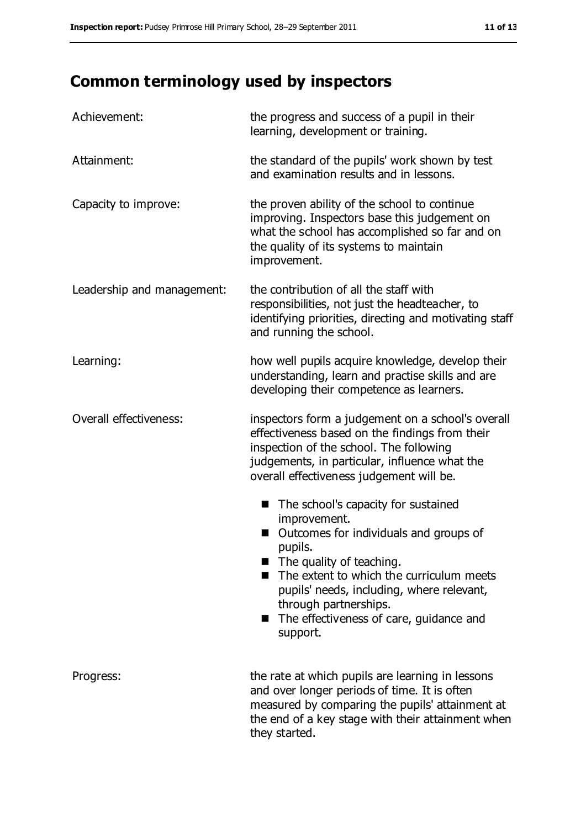# **Common terminology used by inspectors**

| Achievement:               | the progress and success of a pupil in their<br>learning, development or training.                                                                                                                                                                                                                                                     |
|----------------------------|----------------------------------------------------------------------------------------------------------------------------------------------------------------------------------------------------------------------------------------------------------------------------------------------------------------------------------------|
| Attainment:                | the standard of the pupils' work shown by test<br>and examination results and in lessons.                                                                                                                                                                                                                                              |
| Capacity to improve:       | the proven ability of the school to continue<br>improving. Inspectors base this judgement on<br>what the school has accomplished so far and on<br>the quality of its systems to maintain<br>improvement.                                                                                                                               |
| Leadership and management: | the contribution of all the staff with<br>responsibilities, not just the headteacher, to<br>identifying priorities, directing and motivating staff<br>and running the school.                                                                                                                                                          |
| Learning:                  | how well pupils acquire knowledge, develop their<br>understanding, learn and practise skills and are<br>developing their competence as learners.                                                                                                                                                                                       |
| Overall effectiveness:     | inspectors form a judgement on a school's overall<br>effectiveness based on the findings from their<br>inspection of the school. The following<br>judgements, in particular, influence what the<br>overall effectiveness judgement will be.                                                                                            |
|                            | The school's capacity for sustained<br>■<br>improvement.<br>Outcomes for individuals and groups of<br>pupils.<br>$\blacksquare$ The quality of teaching.<br>The extent to which the curriculum meets<br>pupils' needs, including, where relevant,<br>through partnerships.<br>The effectiveness of care, guidance and<br>■<br>support. |
| Progress:                  | the rate at which pupils are learning in lessons<br>and over longer periods of time. It is often<br>measured by comparing the pupils' attainment at<br>the end of a key stage with their attainment when<br>they started.                                                                                                              |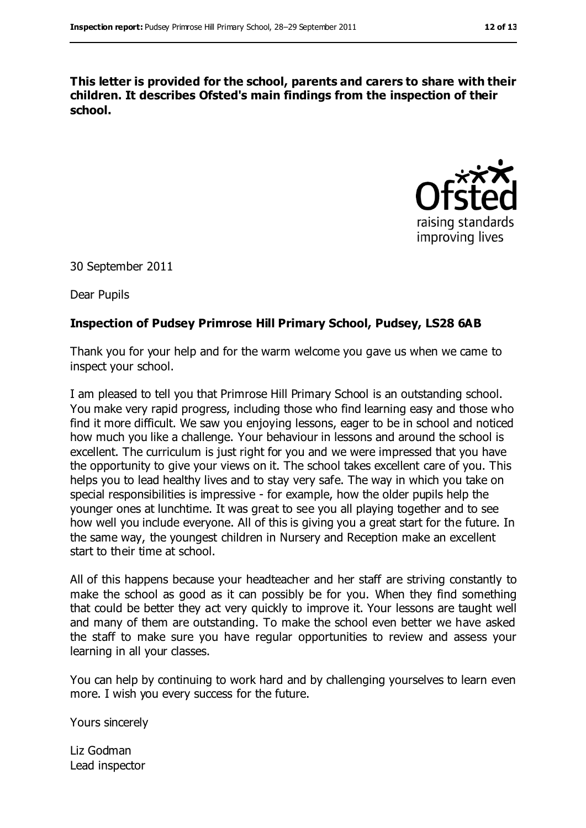**This letter is provided for the school, parents and carers to share with their children. It describes Ofsted's main findings from the inspection of their school.**



30 September 2011

Dear Pupils

#### **Inspection of Pudsey Primrose Hill Primary School, Pudsey, LS28 6AB**

Thank you for your help and for the warm welcome you gave us when we came to inspect your school.

I am pleased to tell you that Primrose Hill Primary School is an outstanding school. You make very rapid progress, including those who find learning easy and those who find it more difficult. We saw you enjoying lessons, eager to be in school and noticed how much you like a challenge. Your behaviour in lessons and around the school is excellent. The curriculum is just right for you and we were impressed that you have the opportunity to give your views on it. The school takes excellent care of you. This helps you to lead healthy lives and to stay very safe. The way in which you take on special responsibilities is impressive - for example, how the older pupils help the younger ones at lunchtime. It was great to see you all playing together and to see how well you include everyone. All of this is giving you a great start for the future. In the same way, the youngest children in Nursery and Reception make an excellent start to their time at school.

All of this happens because your headteacher and her staff are striving constantly to make the school as good as it can possibly be for you. When they find something that could be better they act very quickly to improve it. Your lessons are taught well and many of them are outstanding. To make the school even better we have asked the staff to make sure you have regular opportunities to review and assess your learning in all your classes.

You can help by continuing to work hard and by challenging yourselves to learn even more. I wish you every success for the future.

Yours sincerely

Liz Godman Lead inspector